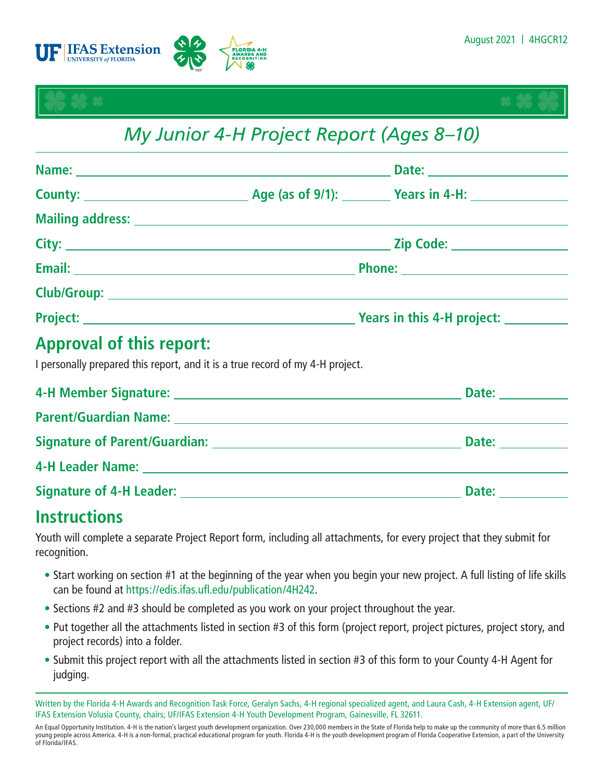





# *My Junior 4-H Project Report (Ages 8–10)*

|  | Project: Next Project: Next Project: Next Project: Next Project: Next Project: Next Project: Next Project: Next Project: Next Project: Next Project: Next Project: Next Project: Next Project: Next Project: Next Project: Nex |
|--|--------------------------------------------------------------------------------------------------------------------------------------------------------------------------------------------------------------------------------|
|  |                                                                                                                                                                                                                                |

## **Approval of this report:**

I personally prepared this report, and it is a true record of my 4-H project.

|                                                                                                                                                                                                                                | Date: <b>Example 2</b> |
|--------------------------------------------------------------------------------------------------------------------------------------------------------------------------------------------------------------------------------|------------------------|
| Parent/Guardian Name: Name and Second Contractor of the Contractor of the Contractor of the Contractor of the Contractor of the Contractor of the Contractor of the Contractor of the Contractor of the Contractor of the Cont |                        |
|                                                                                                                                                                                                                                | <b>Date: Example 2</b> |
|                                                                                                                                                                                                                                |                        |
|                                                                                                                                                                                                                                | Date:                  |

## **Instructions**

Youth will complete a separate Project Report form, including all attachments, for every project that they submit for recognition.

- Start working on section #1 at the beginning of the year when you begin your new project. A full listing of life skills can be found at <https://edis.ifas.ufl.edu/publication/4H242>.
- Sections #2 and #3 should be completed as you work on your project throughout the year.
- Put together all the attachments listed in section #3 of this form (project report, project pictures, project story, and project records) into a folder.
- Submit this project report with all the attachments listed in section #3 of this form to your County 4-H Agent for judging.

Written by the Florida 4-H Awards and Recognition Task Force, Geralyn Sachs, 4-H regional specialized agent, and Laura Cash, 4-H Extension agent, UF/ IFAS Extension Volusia County, chairs; UF/IFAS Extension 4-H Youth Development Program, Gainesville, FL 32611.

An Equal Opportunity Institution. 4-H is the nation's largest youth development organization. Over 230,000 members in the State of Florida help to make up the community of more than 6.5 million young people across America. 4-H is a non-formal, practical educational program for youth. Florida 4-H is the youth development program of Florida Cooperative Extension, a part of the University of Florida/IFAS.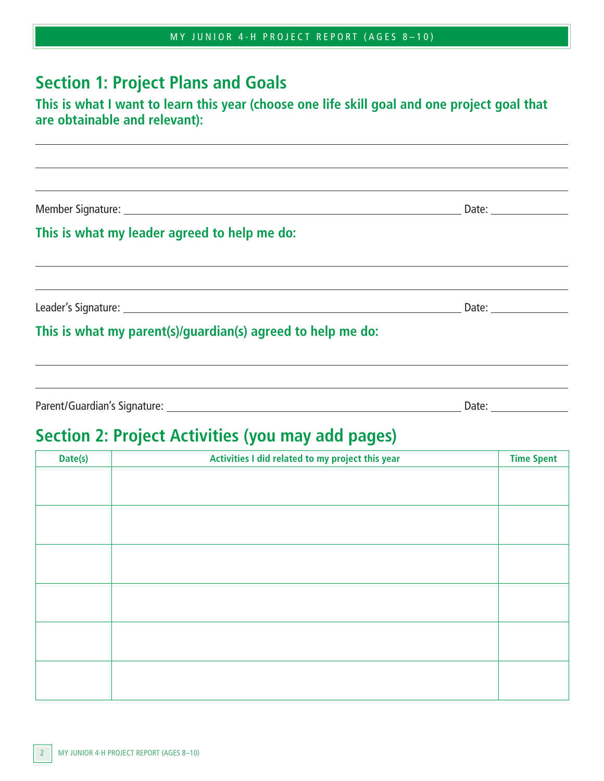|  | MY JUNIOR 4-H PROJECT REPORT (AGES 8-10) |  |
|--|------------------------------------------|--|
|--|------------------------------------------|--|

#### **Section 1: Project Plans and Goals**

#### **This is what I want to learn this year (choose one life skill goal and one project goal that are obtainable and relevant):**

the control of the control of the control of the control of the control of the control of the control of the control of the control of the control of the control of the control of the control of the control of the control

Member Signature: Date:

 $\overline{a}$ 

 $\overline{a}$ 

 $\overline{a}$ 

#### **This is what my leader agreed to help me do:**

Leader's Signature: Date:

#### **This is what my parent(s)/guardian(s) agreed to help me do:**

Parent/Guardian's Signature: Date:

## **Section 2: Project Activities (you may add pages)**

| Activities I did related to my project this year | <b>Time Spent</b> |
|--------------------------------------------------|-------------------|
|                                                  |                   |
|                                                  |                   |
|                                                  |                   |
|                                                  |                   |
|                                                  |                   |
|                                                  |                   |
|                                                  |                   |
|                                                  |                   |
|                                                  |                   |
|                                                  |                   |
|                                                  |                   |
|                                                  |                   |
|                                                  |                   |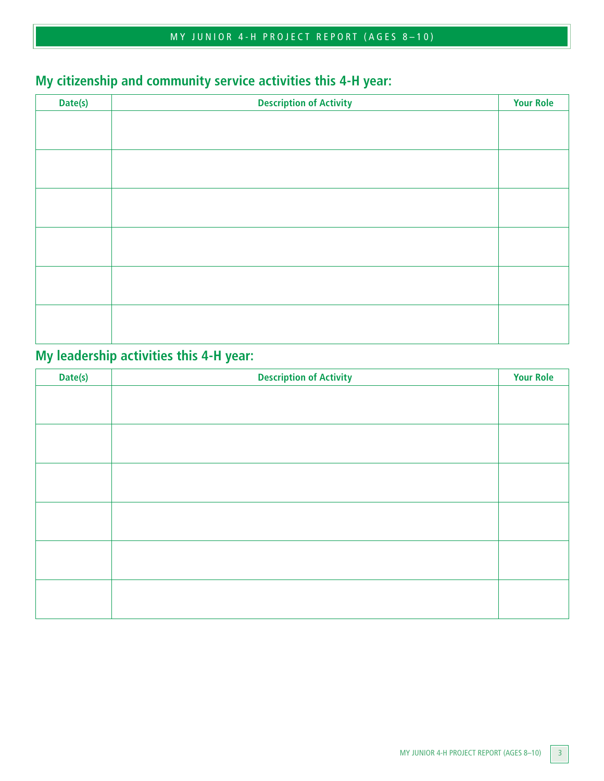#### MY JUNIOR 4-H PROJECT REPORT (AGES 8–10)

## **My citizenship and community service activities this 4-H year:**

| Date(s) | <b>Description of Activity</b> | <b>Your Role</b> |
|---------|--------------------------------|------------------|
|         |                                |                  |
|         |                                |                  |
|         |                                |                  |
|         |                                |                  |
|         |                                |                  |
|         |                                |                  |
|         |                                |                  |
|         |                                |                  |
|         |                                |                  |
|         |                                |                  |
|         |                                |                  |
|         |                                |                  |
|         |                                |                  |
|         |                                |                  |

#### **My leadership activities this 4-H year:**

| Date(s) | <b>Description of Activity</b> | <b>Your Role</b> |
|---------|--------------------------------|------------------|
|         |                                |                  |
|         |                                |                  |
|         |                                |                  |
|         |                                |                  |
|         |                                |                  |
|         |                                |                  |
|         |                                |                  |
|         |                                |                  |
|         |                                |                  |
|         |                                |                  |
|         |                                |                  |
|         |                                |                  |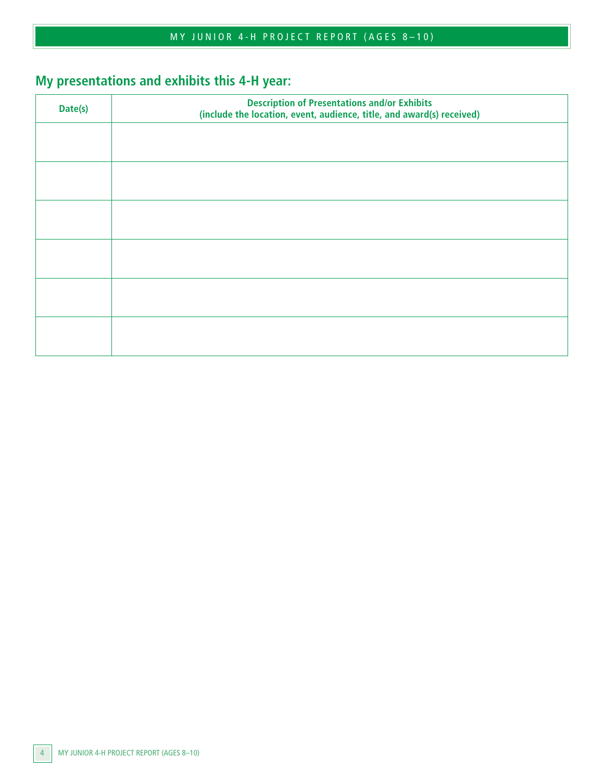## **My presentations and exhibits this 4-H year:**

| Date(s) | <b>Description of Presentations and/or Exhibits</b><br>(include the location, event, audience, title, and award(s) received) |  |
|---------|------------------------------------------------------------------------------------------------------------------------------|--|
|         |                                                                                                                              |  |
|         |                                                                                                                              |  |
|         |                                                                                                                              |  |
|         |                                                                                                                              |  |
|         |                                                                                                                              |  |
|         |                                                                                                                              |  |
|         |                                                                                                                              |  |
|         |                                                                                                                              |  |
|         |                                                                                                                              |  |
|         |                                                                                                                              |  |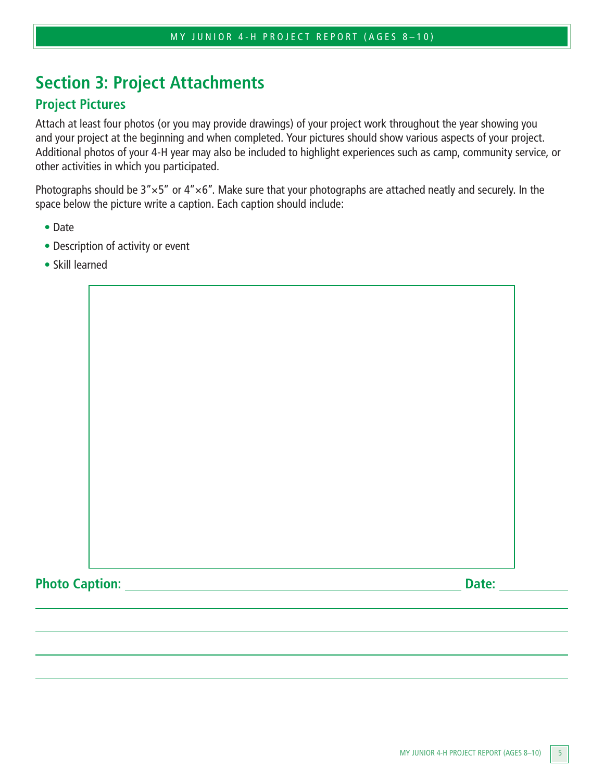## **Section 3: Project Attachments**

#### **Project Pictures**

Attach at least four photos (or you may provide drawings) of your project work throughout the year showing you and your project at the beginning and when completed. Your pictures should show various aspects of your project. Additional photos of your 4-H year may also be included to highlight experiences such as camp, community service, or other activities in which you participated.

Photographs should be  $3'' \times 5''$  or  $4'' \times 6''$ . Make sure that your photographs are attached neatly and securely. In the space below the picture write a caption. Each caption should include:

- Date
- Description of activity or event
- Skill learned

Photo Caption: <u>Date:</u> **Date: Date: Date: Date: Date: Date: Date: Date: Date: Date: Date: Date: Date: Date: Date: Date: Date: Date: Date: Date: Date: Date: Date: Date: Date:**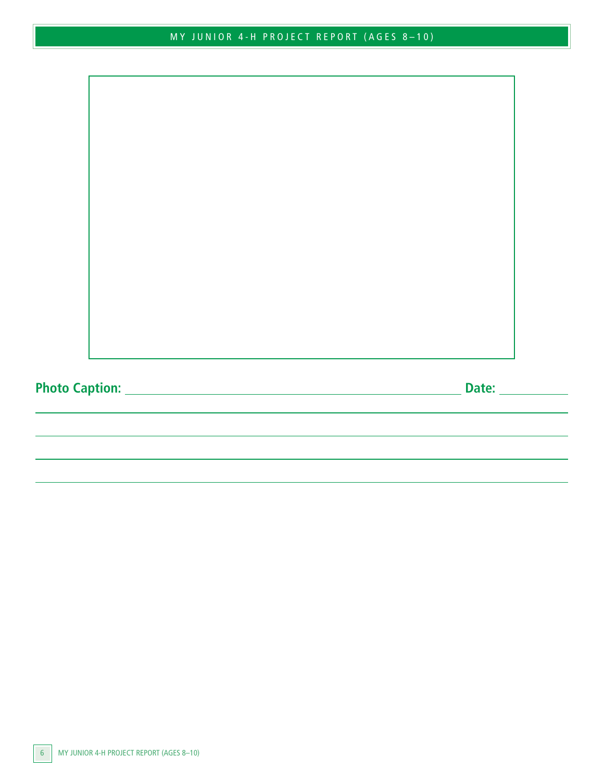|--|--|--|--|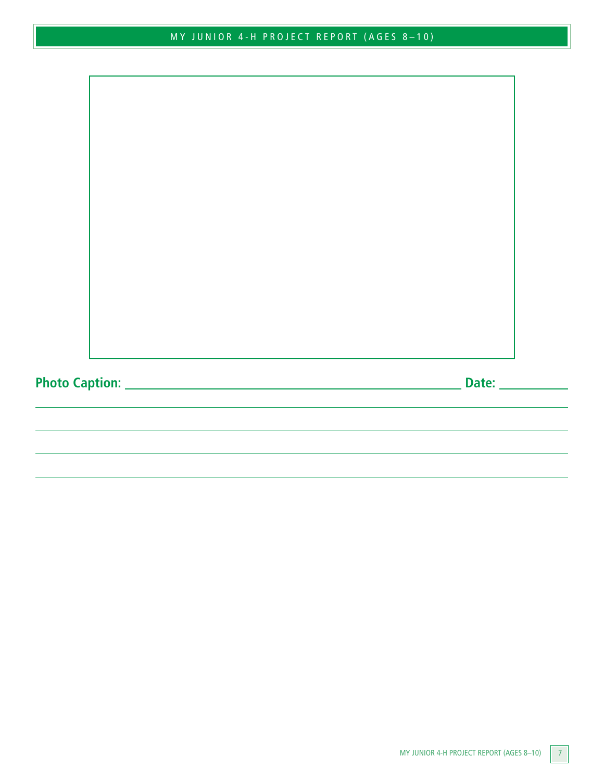**Photo Caption: Date:**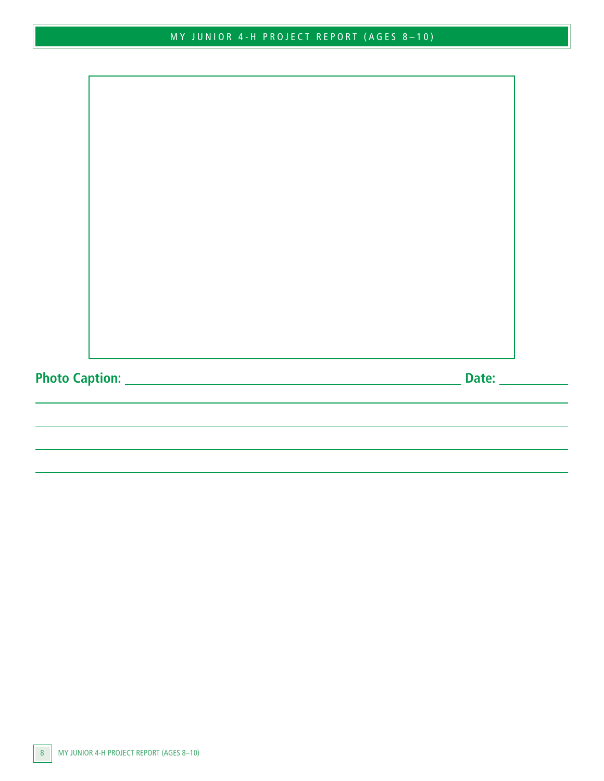**Photo Caption: Date:**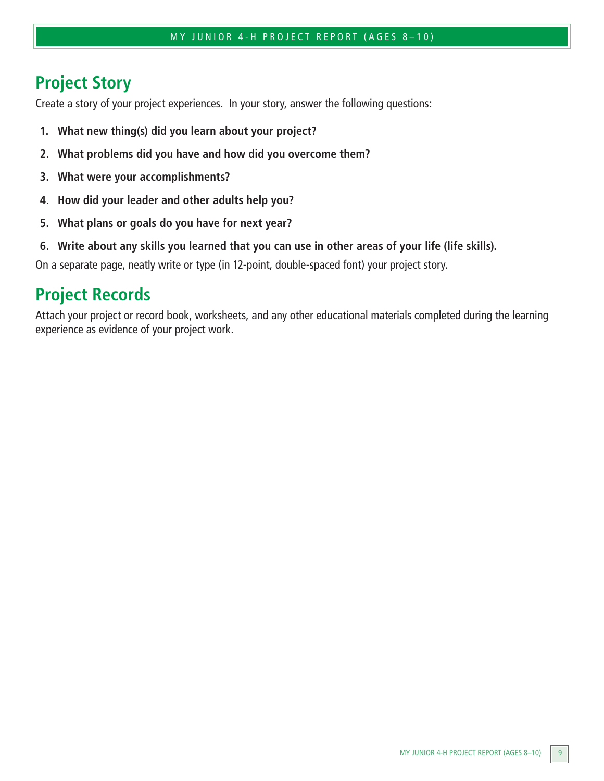## **Project Story**

Create a story of your project experiences. In your story, answer the following questions:

- **1. What new thing(s) did you learn about your project?**
- **2. What problems did you have and how did you overcome them?**
- **3. What were your accomplishments?**
- **4. How did your leader and other adults help you?**
- **5. What plans or goals do you have for next year?**
- **6. Write about any skills you learned that you can use in other areas of your life (life skills).**

On a separate page, neatly write or type (in 12-point, double-spaced font) your project story.

#### **Project Records**

Attach your project or record book, worksheets, and any other educational materials completed during the learning experience as evidence of your project work.